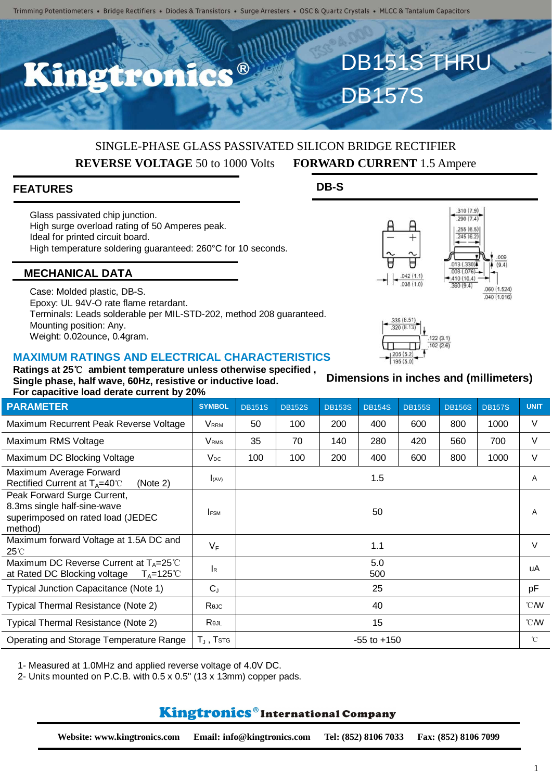R

# SINGLE-PHASE GLASS PASSIVATED SILICON BRIDGE RECTIFIER **REVERSE VOLTAGE** 50 to 1000 Volts **FORWARD CURRENT** 1.5 Ampere

## **FEATURES**

Glass passivated chip junction. High surge overload rating of 50 Amperes peak. Ideal for printed circuit board. High temperature soldering guaranteed: 260°C for 10 seconds.

### **MECHANICAL DATA**

Case: Molded plastic, DB-S. Epoxy: UL 94V-O rate flame retardant. Terminals: Leads solderable per MIL-STD-202, method 208 guaranteed. Mounting position: Any. Weight: 0.02ounce, 0.4gram.

#### **MAXIMUM RATINGS AND ELECTRICAL CHARACTERISTICS**

**Ratings at 25**℃ **ambient temperature unless otherwise specified , Single phase, half wave, 60Hz, resistive or inductive load. For capacitive load derate current by 20%**

| Dimensions in inches and (millimeters) |  |  |
|----------------------------------------|--|--|
|                                        |  |  |

 $122(3.1)$  $102(26)$ 

 $.042(1.1)$ 

 $.038(1.0)$ 

335 (8.51) 320 (8.13)

 $.195(5.0$ 

 $310(79)$  $.290(7.4)$  $\frac{.255(6.5)}{.245(6.2)}$ 

 $013(330)$ 

 $.003(.076)$ 

410 (10.4)

 $.360(9.4)$ 

 $009$ 

 $(9A)$ 

 $.060(1.524)$  $.040(1.016)$ 

DB151S THRU

DB157

**DB-S**

| Maximum Recurrent Peak Reverse Voltage                                                                      | Vrrm                    | 50              | 100 | 200 | 400 | 600 | 800 | 1000 | $\vee$       |
|-------------------------------------------------------------------------------------------------------------|-------------------------|-----------------|-----|-----|-----|-----|-----|------|--------------|
| Maximum RMS Voltage                                                                                         | <b>V</b> <sub>RMS</sub> | 35              | 70  | 140 | 280 | 420 | 560 | 700  | $\vee$       |
| Maximum DC Blocking Voltage                                                                                 | $V_{DC}$                | 100             | 100 | 200 | 400 | 600 | 800 | 1000 | $\vee$       |
| Maximum Average Forward<br>Rectified Current at $T_A=40^\circ\text{C}$<br>(Note 2)                          | (AV)                    | 1.5             |     |     |     |     |     |      |              |
| Peak Forward Surge Current,<br>8.3ms single half-sine-wave<br>superimposed on rated load (JEDEC<br>method)  | <b>FSM</b>              | 50              |     |     |     |     |     |      |              |
| Maximum forward Voltage at 1.5A DC and<br>$25^{\circ}$                                                      | $V_F$                   | 1.1             |     |     |     |     |     |      |              |
| Maximum DC Reverse Current at $T_A = 25^{\circ}$ C<br>at Rated DC Blocking voltage<br>$T_A = 125^{\circ}$ C | <b>I</b> R              | 5.0<br>500      |     |     |     |     |     |      | uA           |
| Typical Junction Capacitance (Note 1)                                                                       | $C_{J}$                 | 25              |     |     |     |     |     |      | pF           |
| Typical Thermal Resistance (Note 2)                                                                         | Rejc                    | 40              |     |     |     |     |     |      | °CM          |
| Typical Thermal Resistance (Note 2)                                                                         | Rejl                    | 15              |     |     |     |     |     |      | °CM          |
| Operating and Storage Temperature Range                                                                     | $T_{\perp}$ , $T$ stg   | $-55$ to $+150$ |     |     |     |     |     |      | $^{\circ}$ C |

**PARAMETER SYMBOL** DB151S DB152S DB153S DB154S DB155S DB156S DB157S **UNIT**

1- Measured at 1.0MHz and applied reverse voltage of 4.0V DC.

2- Units mounted on P.C.B. with  $0.5 \times 0.5$ " (13  $\times$  13mm) copper pads.

# **Kingtronics**®International Company

**Website: www.kingtronics.com Email: info@kingtronics.com Tel: (852) 8106 7033 Fax: (852) 8106 7099**